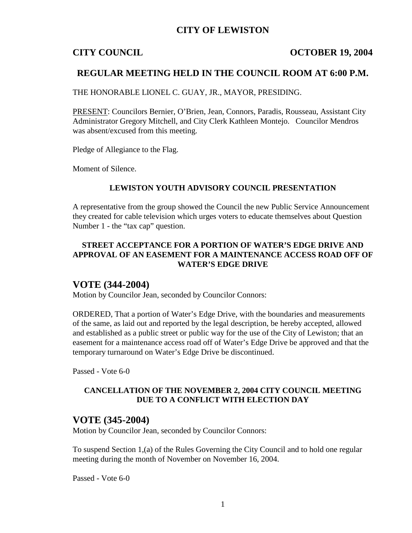## **CITY OF LEWISTON**

### **CITY COUNCIL COUNCIL COUNCIL** COUNCIL

## **REGULAR MEETING HELD IN THE COUNCIL ROOM AT 6:00 P.M.**

THE HONORABLE LIONEL C. GUAY, JR., MAYOR, PRESIDING.

PRESENT: Councilors Bernier, O'Brien, Jean, Connors, Paradis, Rousseau, Assistant City Administrator Gregory Mitchell, and City Clerk Kathleen Montejo. Councilor Mendros was absent/excused from this meeting.

Pledge of Allegiance to the Flag.

Moment of Silence.

### **LEWISTON YOUTH ADVISORY COUNCIL PRESENTATION**

A representative from the group showed the Council the new Public Service Announcement they created for cable television which urges voters to educate themselves about Question Number 1 - the "tax cap" question.

### **STREET ACCEPTANCE FOR A PORTION OF WATER'S EDGE DRIVE AND APPROVAL OF AN EASEMENT FOR A MAINTENANCE ACCESS ROAD OFF OF WATER'S EDGE DRIVE**

## **VOTE (344-2004)**

Motion by Councilor Jean, seconded by Councilor Connors:

ORDERED, That a portion of Water's Edge Drive, with the boundaries and measurements of the same, as laid out and reported by the legal description, be hereby accepted, allowed and established as a public street or public way for the use of the City of Lewiston; that an easement for a maintenance access road off of Water's Edge Drive be approved and that the temporary turnaround on Water's Edge Drive be discontinued.

Passed - Vote 6-0

### **CANCELLATION OF THE NOVEMBER 2, 2004 CITY COUNCIL MEETING DUE TO A CONFLICT WITH ELECTION DAY**

### **VOTE (345-2004)**

Motion by Councilor Jean, seconded by Councilor Connors:

To suspend Section 1,(a) of the Rules Governing the City Council and to hold one regular meeting during the month of November on November 16, 2004.

Passed - Vote 6-0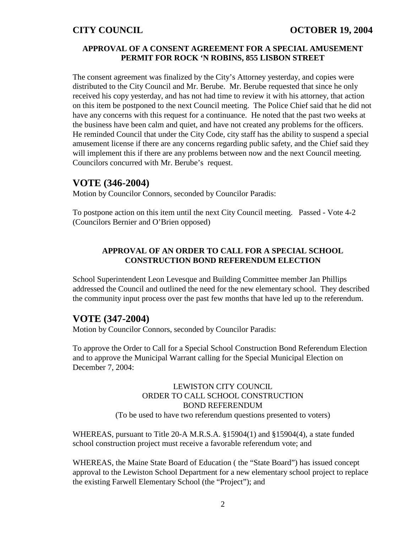### **APPROVAL OF A CONSENT AGREEMENT FOR A SPECIAL AMUSEMENT PERMIT FOR ROCK 'N ROBINS, 855 LISBON STREET**

The consent agreement was finalized by the City's Attorney yesterday, and copies were distributed to the City Council and Mr. Berube. Mr. Berube requested that since he only received his copy yesterday, and has not had time to review it with his attorney, that action on this item be postponed to the next Council meeting. The Police Chief said that he did not have any concerns with this request for a continuance. He noted that the past two weeks at the business have been calm and quiet, and have not created any problems for the officers. He reminded Council that under the City Code, city staff has the ability to suspend a special amusement license if there are any concerns regarding public safety, and the Chief said they will implement this if there are any problems between now and the next Council meeting. Councilors concurred with Mr. Berube's request.

# **VOTE (346-2004)**

Motion by Councilor Connors, seconded by Councilor Paradis:

To postpone action on this item until the next City Council meeting. Passed - Vote 4-2 (Councilors Bernier and O'Brien opposed)

## **APPROVAL OF AN ORDER TO CALL FOR A SPECIAL SCHOOL CONSTRUCTION BOND REFERENDUM ELECTION**

School Superintendent Leon Levesque and Building Committee member Jan Phillips addressed the Council and outlined the need for the new elementary school. They described the community input process over the past few months that have led up to the referendum.

# **VOTE (347-2004)**

Motion by Councilor Connors, seconded by Councilor Paradis:

To approve the Order to Call for a Special School Construction Bond Referendum Election and to approve the Municipal Warrant calling for the Special Municipal Election on December 7, 2004:

## LEWISTON CITY COUNCIL ORDER TO CALL SCHOOL CONSTRUCTION BOND REFERENDUM (To be used to have two referendum questions presented to voters)

WHEREAS, pursuant to Title 20-A M.R.S.A. §15904(1) and §15904(4), a state funded school construction project must receive a favorable referendum vote; and

WHEREAS, the Maine State Board of Education ( the "State Board") has issued concept approval to the Lewiston School Department for a new elementary school project to replace the existing Farwell Elementary School (the "Project"); and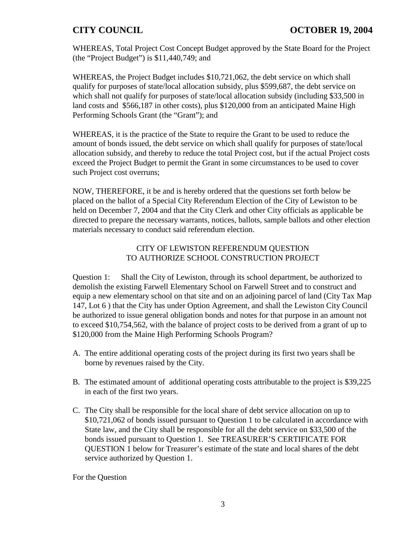WHEREAS, Total Project Cost Concept Budget approved by the State Board for the Project (the "Project Budget") is \$11,440,749; and

WHEREAS, the Project Budget includes \$10,721,062, the debt service on which shall qualify for purposes of state/local allocation subsidy, plus \$599,687, the debt service on which shall not qualify for purposes of state/local allocation subsidy (including \$33,500 in land costs and \$566,187 in other costs), plus \$120,000 from an anticipated Maine High Performing Schools Grant (the "Grant"); and

WHEREAS, it is the practice of the State to require the Grant to be used to reduce the amount of bonds issued, the debt service on which shall qualify for purposes of state/local allocation subsidy, and thereby to reduce the total Project cost, but if the actual Project costs exceed the Project Budget to permit the Grant in some circumstances to be used to cover such Project cost overruns;

NOW, THEREFORE, it be and is hereby ordered that the questions set forth below be placed on the ballot of a Special City Referendum Election of the City of Lewiston to be held on December 7, 2004 and that the City Clerk and other City officials as applicable be directed to prepare the necessary warrants, notices, ballots, sample ballots and other election materials necessary to conduct said referendum election.

### CITY OF LEWISTON REFERENDUM QUESTION TO AUTHORIZE SCHOOL CONSTRUCTION PROJECT

Question 1: Shall the City of Lewiston, through its school department, be authorized to demolish the existing Farwell Elementary School on Farwell Street and to construct and equip a new elementary school on that site and on an adjoining parcel of land (City Tax Map 147, Lot 6 ) that the City has under Option Agreement, and shall the Lewiston City Council be authorized to issue general obligation bonds and notes for that purpose in an amount not to exceed \$10,754,562, with the balance of project costs to be derived from a grant of up to \$120,000 from the Maine High Performing Schools Program?

- A. The entire additional operating costs of the project during its first two years shall be borne by revenues raised by the City.
- B. The estimated amount of additional operating costs attributable to the project is \$39,225 in each of the first two years.
- C. The City shall be responsible for the local share of debt service allocation on up to \$10,721,062 of bonds issued pursuant to Question 1 to be calculated in accordance with State law, and the City shall be responsible for all the debt service on \$33,500 of the bonds issued pursuant to Question 1. See TREASURER'S CERTIFICATE FOR QUESTION 1 below for Treasurer's estimate of the state and local shares of the debt service authorized by Question 1.

For the Question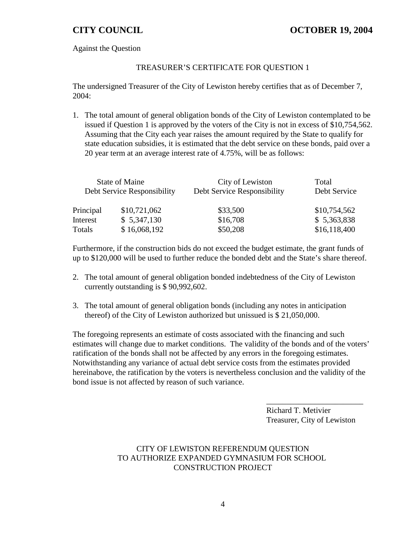Against the Question

### TREASURER'S CERTIFICATE FOR QUESTION 1

The undersigned Treasurer of the City of Lewiston hereby certifies that as of December 7, 2004:

1. The total amount of general obligation bonds of the City of Lewiston contemplated to be issued if Question 1 is approved by the voters of the City is not in excess of \$10,754,562. Assuming that the City each year raises the amount required by the State to qualify for state education subsidies, it is estimated that the debt service on these bonds, paid over a 20 year term at an average interest rate of 4.75%, will be as follows:

| State of Maine<br>Debt Service Responsibility |              | City of Lewiston<br>Debt Service Responsibility | Total<br>Debt Service |
|-----------------------------------------------|--------------|-------------------------------------------------|-----------------------|
| Principal                                     | \$10,721,062 | \$33,500                                        | \$10,754,562          |
| Interest                                      | \$5,347,130  | \$16,708                                        | \$5,363,838           |
| Totals                                        | \$16,068,192 | \$50,208                                        | \$16,118,400          |

Furthermore, if the construction bids do not exceed the budget estimate, the grant funds of up to \$120,000 will be used to further reduce the bonded debt and the State's share thereof.

- 2. The total amount of general obligation bonded indebtedness of the City of Lewiston currently outstanding is \$ 90,992,602.
- 3. The total amount of general obligation bonds (including any notes in anticipation thereof) of the City of Lewiston authorized but unissued is \$ 21,050,000.

The foregoing represents an estimate of costs associated with the financing and such estimates will change due to market conditions. The validity of the bonds and of the voters' ratification of the bonds shall not be affected by any errors in the foregoing estimates. Notwithstanding any variance of actual debt service costs from the estimates provided hereinabove, the ratification by the voters is nevertheless conclusion and the validity of the bond issue is not affected by reason of such variance.

> Richard T. Metivier Treasurer, City of Lewiston

\_\_\_\_\_\_\_\_\_\_\_\_\_\_\_\_\_\_\_\_\_\_\_\_

### CITY OF LEWISTON REFERENDUM QUESTION TO AUTHORIZE EXPANDED GYMNASIUM FOR SCHOOL CONSTRUCTION PROJECT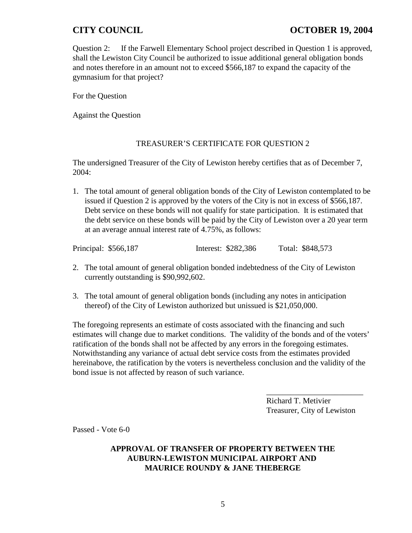# **CITY COUNCIL COUNCIL COUNCIL COUNCIL COUNCIL COUNCIL COUNCIL COUNCIL**

Question 2: If the Farwell Elementary School project described in Question 1 is approved, shall the Lewiston City Council be authorized to issue additional general obligation bonds and notes therefore in an amount not to exceed \$566,187 to expand the capacity of the gymnasium for that project?

For the Question

Against the Question

### TREASURER'S CERTIFICATE FOR QUESTION 2

The undersigned Treasurer of the City of Lewiston hereby certifies that as of December 7, 2004:

1. The total amount of general obligation bonds of the City of Lewiston contemplated to be issued if Question 2 is approved by the voters of the City is not in excess of \$566,187. Debt service on these bonds will not qualify for state participation. It is estimated that the debt service on these bonds will be paid by the City of Lewiston over a 20 year term at an average annual interest rate of 4.75%, as follows:

| Principal: \$566,187 | Interest: \$282,386 | Total: \$848,573 |
|----------------------|---------------------|------------------|
|----------------------|---------------------|------------------|

- 2. The total amount of general obligation bonded indebtedness of the City of Lewiston currently outstanding is \$90,992,602.
- 3. The total amount of general obligation bonds (including any notes in anticipation thereof) of the City of Lewiston authorized but unissued is \$21,050,000.

The foregoing represents an estimate of costs associated with the financing and such estimates will change due to market conditions. The validity of the bonds and of the voters' ratification of the bonds shall not be affected by any errors in the foregoing estimates. Notwithstanding any variance of actual debt service costs from the estimates provided hereinabove, the ratification by the voters is nevertheless conclusion and the validity of the bond issue is not affected by reason of such variance.

> Richard T. Metivier Treasurer, City of Lewiston

\_\_\_\_\_\_\_\_\_\_\_\_\_\_\_\_\_\_\_\_\_\_\_\_

Passed - Vote 6-0

### **APPROVAL OF TRANSFER OF PROPERTY BETWEEN THE AUBURN-LEWISTON MUNICIPAL AIRPORT AND MAURICE ROUNDY & JANE THEBERGE**